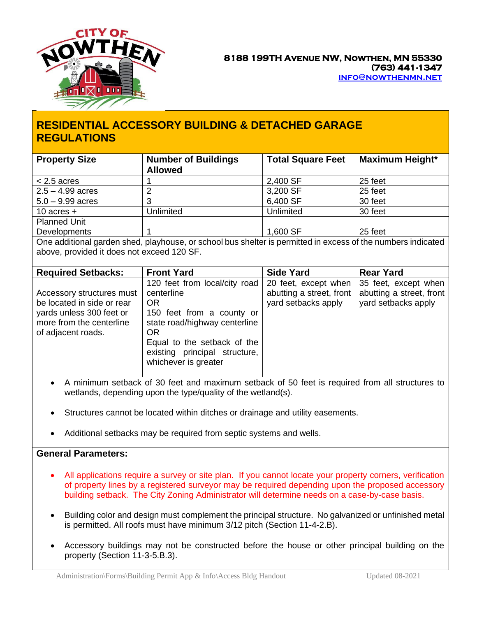

## **RESIDENTIAL ACCESSORY BUILDING & DETACHED GARAGE REGULATIONS**

| <b>Property Size</b>                                                                                                                                       | <b>Number of Buildings</b><br><b>Allowed</b>                                                                                                                                                                          | <b>Total Square Feet</b>                                                | Maximum Height*                                                         |
|------------------------------------------------------------------------------------------------------------------------------------------------------------|-----------------------------------------------------------------------------------------------------------------------------------------------------------------------------------------------------------------------|-------------------------------------------------------------------------|-------------------------------------------------------------------------|
| $< 2.5$ acres                                                                                                                                              |                                                                                                                                                                                                                       | 2,400 SF                                                                | 25 feet                                                                 |
| $2.5 - 4.99$ acres                                                                                                                                         | 2                                                                                                                                                                                                                     | 3,200 SF                                                                | 25 feet                                                                 |
| $5.0 - 9.99$ acres                                                                                                                                         | 3                                                                                                                                                                                                                     | 6,400 SF                                                                | 30 feet                                                                 |
| 10 acres $+$                                                                                                                                               | <b>Unlimited</b>                                                                                                                                                                                                      | Unlimited                                                               | 30 feet                                                                 |
| <b>Planned Unit</b>                                                                                                                                        |                                                                                                                                                                                                                       |                                                                         |                                                                         |
| Developments                                                                                                                                               |                                                                                                                                                                                                                       | 1,600 SF                                                                | 25 feet                                                                 |
| One additional garden shed, playhouse, or school bus shelter is permitted in excess of the numbers indicated<br>above, provided it does not exceed 120 SF. |                                                                                                                                                                                                                       |                                                                         |                                                                         |
| <b>Required Setbacks:</b>                                                                                                                                  | <b>Front Yard</b>                                                                                                                                                                                                     | <b>Side Yard</b>                                                        | <b>Rear Yard</b>                                                        |
| Accessory structures must<br>be located in side or rear<br>yards unless 300 feet or<br>more from the centerline<br>of adjacent roads.                      | 120 feet from local/city road<br>centerline<br><b>OR</b><br>150 feet from a county or<br>state road/highway centerline<br>OR.<br>Equal to the setback of the<br>existing principal structure,<br>whichever is greater | 20 feet, except when<br>abutting a street, front<br>yard setbacks apply | 35 feet, except when<br>abutting a street, front<br>yard setbacks apply |

- A minimum setback of 30 feet and maximum setback of 50 feet is required from all structures to wetlands, depending upon the type/quality of the wetland(s).
- Structures cannot be located within ditches or drainage and utility easements.
- Additional setbacks may be required from septic systems and wells.

## **General Parameters:**

- All applications require a survey or site plan. If you cannot locate your property corners, verification of property lines by a registered surveyor may be required depending upon the proposed accessory building setback. The City Zoning Administrator will determine needs on a case-by-case basis.
- Building color and design must complement the principal structure. No galvanized or unfinished metal is permitted. All roofs must have minimum 3/12 pitch (Section 11-4-2.B).
- Accessory buildings may not be constructed before the house or other principal building on the property (Section 11-3-5.B.3).